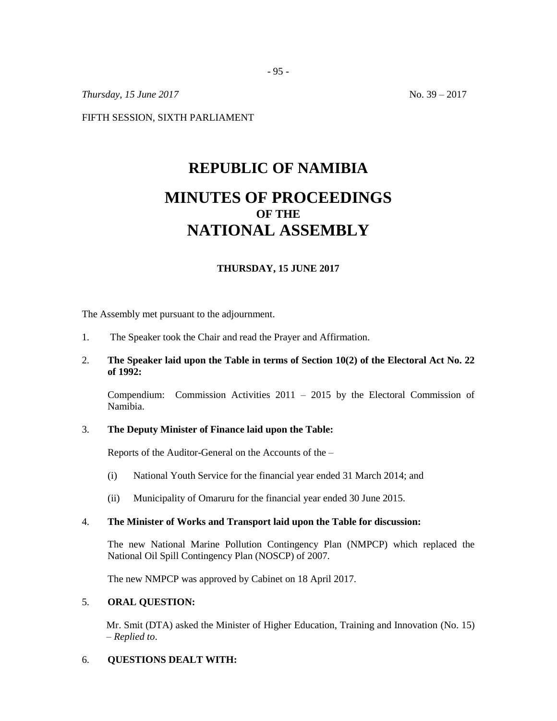*Thursday, 15 June* 2017 No. 39 – 2017

FIFTH SESSION, SIXTH PARLIAMENT

# **REPUBLIC OF NAMIBIA MINUTES OF PROCEEDINGS OF THE NATIONAL ASSEMBLY**

## **THURSDAY, 15 JUNE 2017**

The Assembly met pursuant to the adjournment.

1. The Speaker took the Chair and read the Prayer and Affirmation.

## 2. **The Speaker laid upon the Table in terms of Section 10(2) of the Electoral Act No. 22 of 1992:**

Compendium: Commission Activities 2011 – 2015 by the Electoral Commission of Namibia.

#### 3. **The Deputy Minister of Finance laid upon the Table:**

Reports of the Auditor-General on the Accounts of the –

- (i) National Youth Service for the financial year ended 31 March 2014; and
- (ii) Municipality of Omaruru for the financial year ended 30 June 2015.

## 4. **The Minister of Works and Transport laid upon the Table for discussion:**

The new National Marine Pollution Contingency Plan (NMPCP) which replaced the National Oil Spill Contingency Plan (NOSCP) of 2007.

The new NMPCP was approved by Cabinet on 18 April 2017.

#### 5. **ORAL QUESTION:**

Mr. Smit (DTA) asked the Minister of Higher Education, Training and Innovation (No. 15) – *Replied to*.

#### 6. **QUESTIONS DEALT WITH:**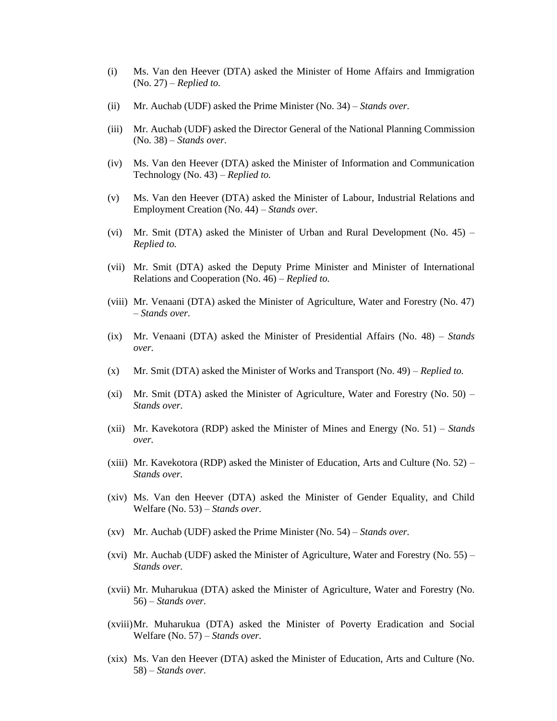- (i) Ms. Van den Heever (DTA) asked the Minister of Home Affairs and Immigration (No. 27) – *Replied to.*
- (ii) Mr. Auchab (UDF) asked the Prime Minister (No. 34) *Stands over.*
- (iii) Mr. Auchab (UDF) asked the Director General of the National Planning Commission (No. 38) – *Stands over.*
- (iv) Ms. Van den Heever (DTA) asked the Minister of Information and Communication Technology (No. 43) – *Replied to.*
- (v) Ms. Van den Heever (DTA) asked the Minister of Labour, Industrial Relations and Employment Creation (No. 44) – *Stands over.*
- (vi) Mr. Smit (DTA) asked the Minister of Urban and Rural Development (No. 45) *Replied to.*
- (vii) Mr. Smit (DTA) asked the Deputy Prime Minister and Minister of International Relations and Cooperation (No. 46) – *Replied to.*
- (viii) Mr. Venaani (DTA) asked the Minister of Agriculture, Water and Forestry (No. 47) – *Stands over.*
- (ix) Mr. Venaani (DTA) asked the Minister of Presidential Affairs (No. 48) *Stands over.*
- (x) Mr. Smit (DTA) asked the Minister of Works and Transport (No. 49) *Replied to.*
- (xi) Mr. Smit (DTA) asked the Minister of Agriculture, Water and Forestry (No.  $50$ ) *Stands over.*
- (xii) Mr. Kavekotora (RDP) asked the Minister of Mines and Energy (No. 51) *Stands over.*
- (xiii) Mr. Kavekotora (RDP) asked the Minister of Education, Arts and Culture (No.  $52$ ) *Stands over.*
- (xiv) Ms. Van den Heever (DTA) asked the Minister of Gender Equality, and Child Welfare (No. 53) – *Stands over.*
- (xv) Mr. Auchab (UDF) asked the Prime Minister (No. 54) *Stands over.*
- (xvi) Mr. Auchab (UDF) asked the Minister of Agriculture, Water and Forestry (No.  $55$ ) *Stands over.*
- (xvii) Mr. Muharukua (DTA) asked the Minister of Agriculture, Water and Forestry (No. 56) – *Stands over.*
- (xviii)Mr. Muharukua (DTA) asked the Minister of Poverty Eradication and Social Welfare (No. 57) – *Stands over.*
- (xix) Ms. Van den Heever (DTA) asked the Minister of Education, Arts and Culture (No. 58) – *Stands over.*